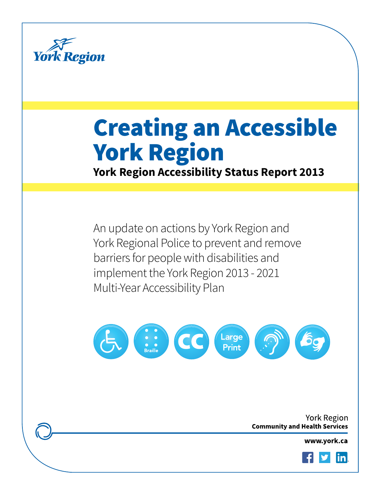

# Creating an Accessible York Region

**York Region Accessibility Status Report 2013**

An update on actions by York Region and York Regional Police to prevent and remove barriers for people with disabilities and implement the York Region 2013 - 2021 Multi-Year Accessibility Plan



York Region **Community and Health Services** 

www.york.ca

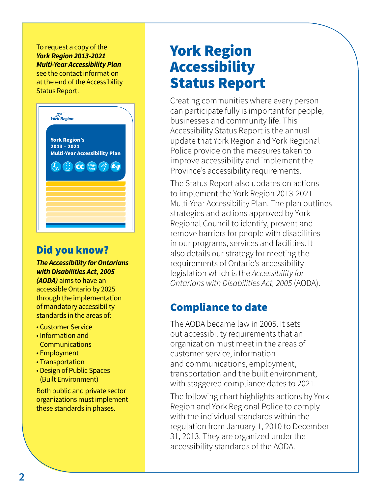#### To request a copy of the *York Region 2013-2021 Multi-Year Accessibility Plan*

see the contact information at the end of the Accessibility Status Report.



# Did you know?

*The Accessibility for Ontarians with Disabilities Act, 2005 (AODA)* aims to have an

accessible Ontario by 2025 through the implementation of mandatory accessibility standards in the areas of:

- Customer Service
- Information and **Communications**
- Employment
- Transportation
- Design of Public Spaces (Built Environment)

Both public and private sector organizations must implement these standards in phases.

# York Region Accessibility Status Report

Creating communities where every person can participate fully is important for people, businesses and community life. This Accessibility Status Report is the annual update that York Region and York Regional Police provide on the measures taken to improve accessibility and implement the Province's accessibility requirements.

The Status Report also updates on actions to implement the York Region 2013-2021 Multi-Year Accessibility Plan. The plan outlines strategies and actions approved by York Regional Council to identify, prevent and remove barriers for people with disabilities in our programs, services and facilities. It also details our strategy for meeting the requirements of Ontario's accessibility legislation which is the *Accessibility for Ontarians with Disabilities Act, 2005* (AODA).

# Compliance to date

The AODA became law in 2005. It sets out accessibility requirements that an organization must meet in the areas of customer service, information and communications, employment, transportation and the built environment, with staggered compliance dates to 2021.

The following chart highlights actions by York Region and York Regional Police to comply with the individual standards within the regulation from January 1, 2010 to December 31, 2013. They are organized under the accessibility standards of the AODA.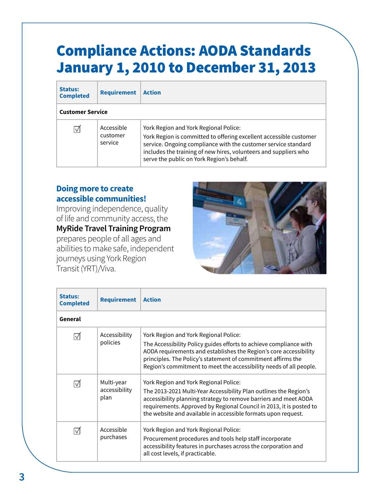# Compliance Actions: AODA Standards January 1, 2010 to December 31, 2013

| <b>Status:</b><br><b>Completed</b> | <b>Requirement</b>                | <b>Action</b>                                                                                                                                                                                                                                                                                  |
|------------------------------------|-----------------------------------|------------------------------------------------------------------------------------------------------------------------------------------------------------------------------------------------------------------------------------------------------------------------------------------------|
| <b>Customer Service</b>            |                                   |                                                                                                                                                                                                                                                                                                |
| IМ                                 | Accessible<br>customer<br>service | York Region and York Regional Police:<br>York Region is committed to offering excellent accessible customer<br>service. Ongoing compliance with the customer service standard<br>includes the training of new hires, volunteers and suppliers who<br>serve the public on York Region's behalf. |

#### **Doing more to create accessible communities!**

Improving independence, quality of life and community access, the **MyRide Travel Training Program** prepares people of all ages and abilities to make safe, independent journeys using York Region Transit (YRT)/Viva.



| <b>Status:</b><br><b>Completed</b> | <b>Requirement</b>                  | <b>Action</b>                                                                                                                                                                                                                                                                                                          |
|------------------------------------|-------------------------------------|------------------------------------------------------------------------------------------------------------------------------------------------------------------------------------------------------------------------------------------------------------------------------------------------------------------------|
| General                            |                                     |                                                                                                                                                                                                                                                                                                                        |
|                                    | Accessibility<br>policies           | York Region and York Regional Police:<br>The Accessibility Policy guides efforts to achieve compliance with<br>AODA requirements and establishes the Region's core accessibility<br>principles. The Policy's statement of commitment affirms the<br>Region's commitment to meet the accessibility needs of all people. |
|                                    | Multi-year<br>accessibility<br>plan | York Region and York Regional Police:<br>The 2013-2021 Multi-Year Accessibility Plan outlines the Region's<br>accessibility planning strategy to remove barriers and meet AODA<br>requirements. Approved by Regional Council in 2013, it is posted to<br>the website and available in accessible formats upon request. |
|                                    | Accessible<br>purchases             | York Region and York Regional Police:<br>Procurement procedures and tools help staff incorporate<br>accessibility features in purchases across the corporation and<br>all cost levels, if practicable.                                                                                                                 |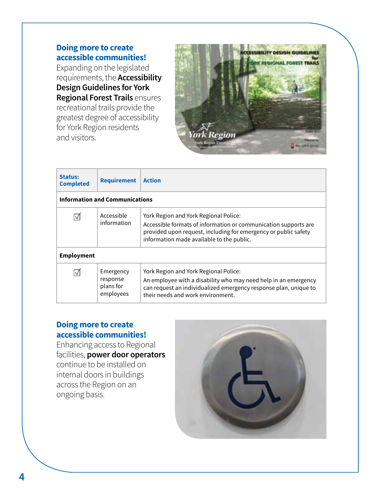Expanding on the legislated requirements, the **Accessibility Design Guidelines for York Regional Forest Trails** ensures recreational trails provide the greatest degree of accessibility for York Region residents and visitors.



| <b>Status:</b><br><b>Completed</b>    | <b>Requirement</b>                              | <b>Action</b>                                                                                                                                                                                                            |
|---------------------------------------|-------------------------------------------------|--------------------------------------------------------------------------------------------------------------------------------------------------------------------------------------------------------------------------|
| <b>Information and Communications</b> |                                                 |                                                                                                                                                                                                                          |
| ℿ                                     | Accessible<br>information                       | York Region and York Regional Police:<br>Accessible formats of information or communication supports are<br>provided upon request, including for emergency or public safety<br>information made available to the public. |
| <b>Employment</b>                     |                                                 |                                                                                                                                                                                                                          |
|                                       | Emergency<br>response<br>plans for<br>employees | York Region and York Regional Police:<br>An employee with a disability who may need help in an emergency<br>can request an individualized emergency response plan, unique to<br>their needs and work environment.        |

#### **Doing more to create accessible communities!**

Enhancing access to Regional facilities, **power door operators** continue to be installed on internal doors in buildings across the Region on an ongoing basis.

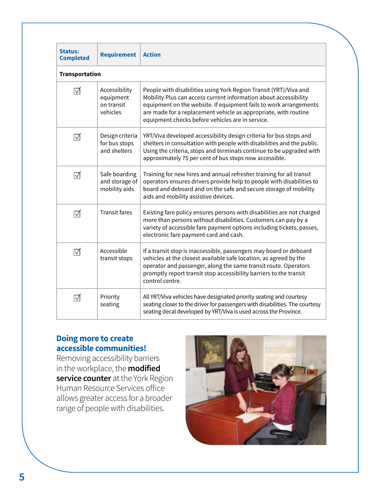| <b>Status:</b><br><b>Completed</b> | <b>Requirement</b>                                   | <b>Action</b>                                                                                                                                                                                                                                                                                                                     |
|------------------------------------|------------------------------------------------------|-----------------------------------------------------------------------------------------------------------------------------------------------------------------------------------------------------------------------------------------------------------------------------------------------------------------------------------|
| <b>Transportation</b>              |                                                      |                                                                                                                                                                                                                                                                                                                                   |
| ⊠                                  | Accessibility<br>equipment<br>on transit<br>vehicles | People with disabilities using York Region Transit (YRT)/Viva and<br>Mobility Plus can access current information about accessibility<br>equipment on the website. If equipment fails to work arrangements<br>are made for a replacement vehicle as appropriate, with routine<br>equipment checks before vehicles are in service. |
| ☑                                  | Design criteria<br>for bus stops<br>and shelters     | YRT/Viva developed accessibility design criteria for bus stops and<br>shelters in consultation with people with disabilities and the public.<br>Using the criteria, stops and terminals continue to be upgraded with<br>approximately 75 per cent of bus stops now accessible.                                                    |
| ☑                                  | Safe boarding<br>and storage of<br>mobility aids     | Training for new hires and annual refresher training for all transit<br>operators ensures drivers provide help to people with disabilities to<br>board and deboard and on the safe and secure storage of mobility<br>aids and mobility assistive devices.                                                                         |
| ⊺√                                 | <b>Transit fares</b>                                 | Existing fare policy ensures persons with disabilities are not charged<br>more than persons without disabilities. Customers can pay by a<br>variety of accessible fare payment options including tickets, passes,<br>electronic fare payment card and cash.                                                                       |
| ☑                                  | Accessible<br>transit stops                          | If a transit stop is inaccessible, passengers may board or deboard<br>vehicles at the closest available safe location, as agreed by the<br>operator and passenger, along the same transit route. Operators<br>promptly report transit stop accessibility barriers to the transit<br>control centre.                               |
| ☑                                  | Priority<br>seating                                  | All YRT/Viva vehicles have designated priority seating and courtesy<br>seating closer to the driver for passengers with disabilities. The courtesy<br>seating decal developed by YRT/Viva is used across the Province.                                                                                                            |

Removing accessibility barriers in the workplace, the **modified service counter** at the York Region Human Resource Services office allows greater access for a broader range of people with disabilities.

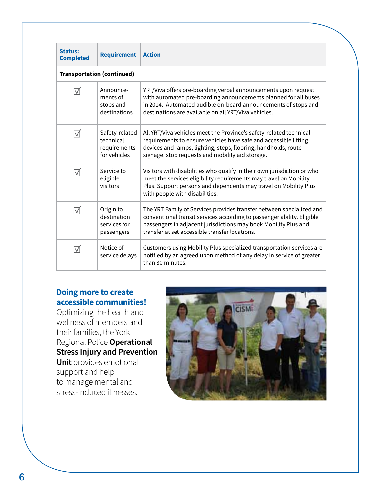| <b>Status:</b><br><b>Completed</b> | <b>Requirement</b>                                          | <b>Action</b>                                                                                                                                                                                                                                                       |
|------------------------------------|-------------------------------------------------------------|---------------------------------------------------------------------------------------------------------------------------------------------------------------------------------------------------------------------------------------------------------------------|
|                                    | <b>Transportation (continued)</b>                           |                                                                                                                                                                                                                                                                     |
| ⊽                                  | Announce-<br>ments of<br>stops and<br>destinations          | YRT/Viva offers pre-boarding verbal announcements upon request<br>with automated pre-boarding announcements planned for all buses<br>in 2014. Automated audible on-board announcements of stops and<br>destinations are available on all YRT/Viva vehicles.         |
| ⊽                                  | Safety-related<br>technical<br>requirements<br>for vehicles | All YRT/Viva vehicles meet the Province's safety-related technical<br>requirements to ensure vehicles have safe and accessible lifting<br>devices and ramps, lighting, steps, flooring, handholds, route<br>signage, stop requests and mobility aid storage.        |
| ☑                                  | Service to<br>eligible<br>visitors                          | Visitors with disabilities who qualify in their own jurisdiction or who<br>meet the services eligibility requirements may travel on Mobility<br>Plus. Support persons and dependents may travel on Mobility Plus<br>with people with disabilities.                  |
| ⊽                                  | Origin to<br>destination<br>services for<br>passengers      | The YRT Family of Services provides transfer between specialized and<br>conventional transit services according to passenger ability. Eligible<br>passengers in adjacent jurisdictions may book Mobility Plus and<br>transfer at set accessible transfer locations. |
| ⊽                                  | Notice of<br>service delays                                 | Customers using Mobility Plus specialized transportation services are<br>notified by an agreed upon method of any delay in service of greater<br>than 30 minutes.                                                                                                   |

Optimizing the health and wellness of members and their families, the York Regional Police **Operational Stress Injury and Prevention Unit** provides emotional support and help to manage mental and stress-induced illnesses.

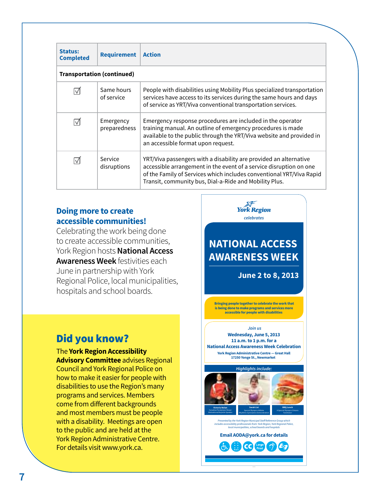| <b>Status:</b><br><b>Completed</b> | <b>Requirement</b>                | <b>Action</b>                                                                                                                                                                                                                                                             |
|------------------------------------|-----------------------------------|---------------------------------------------------------------------------------------------------------------------------------------------------------------------------------------------------------------------------------------------------------------------------|
|                                    | <b>Transportation (continued)</b> |                                                                                                                                                                                                                                                                           |
|                                    | Same hours<br>of service          | People with disabilities using Mobility Plus specialized transportation<br>services have access to its services during the same hours and days<br>of service as YRT/Viva conventional transportation services.                                                            |
|                                    | Emergency<br>preparedness         | Emergency response procedures are included in the operator<br>training manual. An outline of emergency procedures is made<br>available to the public through the YRT/Viva website and provided in<br>an accessible format upon request.                                   |
|                                    | Service<br>disruptions            | YRT/Viva passengers with a disability are provided an alternative<br>accessible arrangement in the event of a service disruption on one<br>of the Family of Services which includes conventional YRT/Viva Rapid<br>Transit, community bus, Dial-a-Ride and Mobility Plus. |

Celebrating the work being done to create accessible communities, York Region hosts **National Access Awareness Week** festivities each June in partnership with York Regional Police, local municipalities, hospitals and school boards.

# Did you know?

The **York Region Accessibility Advisory Committee** advises Regional Council and York Regional Police on how to make it easier for people with disabilities to use the Region's many programs and services. Members come from different backgrounds and most members must be people with a disability. Meetings are open to the public and are held at the York Region Administrative Centre. For details visit www.york.ca.